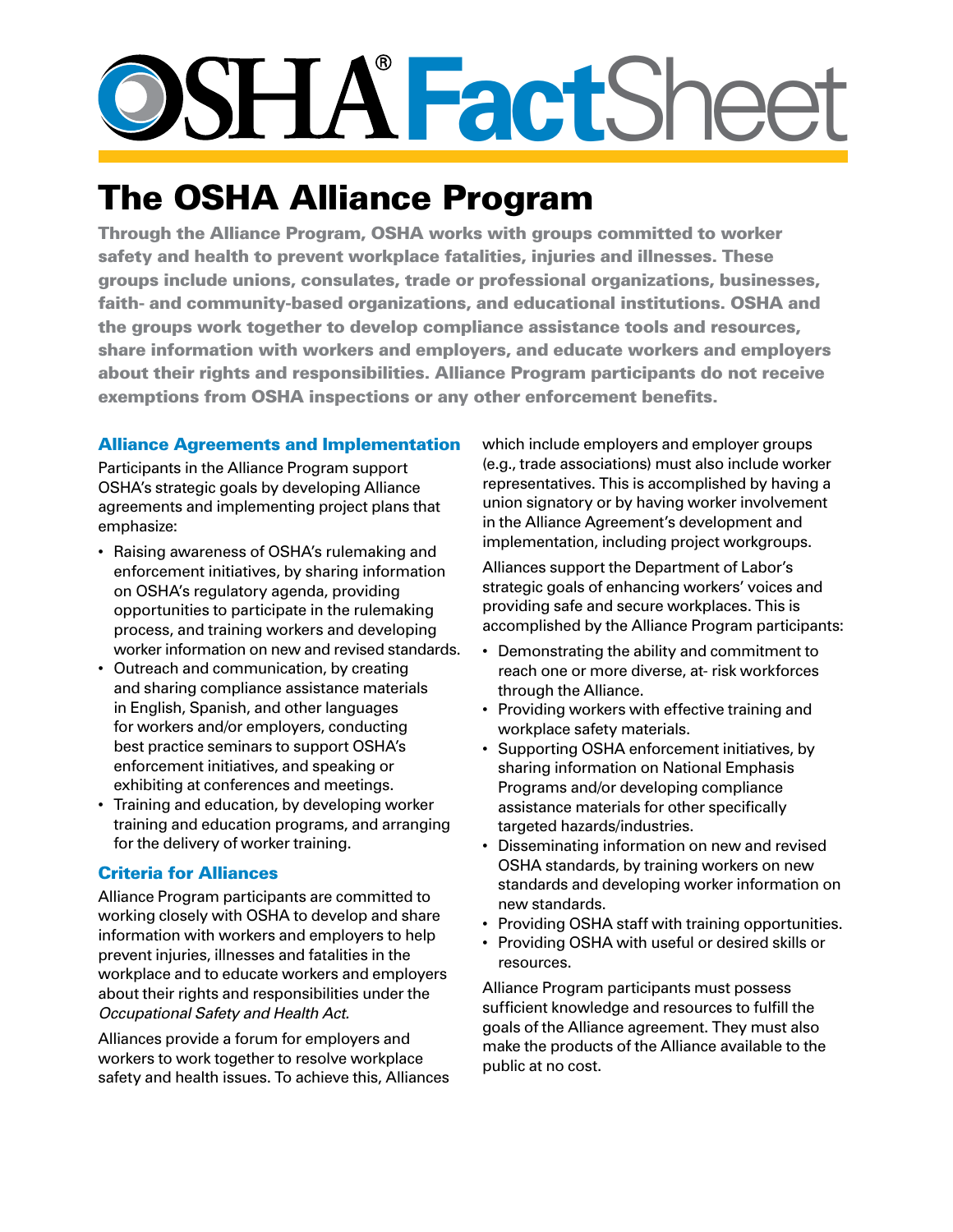# **SHA FactShee**

## The OSHA Alliance Program

Through the Alliance Program, OSHA works with groups committed to worker safety and health to prevent workplace fatalities, injuries and illnesses. These groups include unions, consulates, trade or professional organizations, businesses, faith- and community-based organizations, and educational institutions. OSHA and the groups work together to develop compliance assistance tools and resources, share information with workers and employers, and educate workers and employers about their rights and responsibilities. Alliance Program participants do not receive exemptions from OSHA inspections or any other enforcement benefits.

#### Alliance Agreements and Implementation

Participants in the Alliance Program support OSHA's strategic goals by developing Alliance agreements and implementing project plans that emphasize:

- Raising awareness of OSHA's rulemaking and enforcement initiatives, by sharing information on OSHA's regulatory agenda, providing opportunities to participate in the rulemaking process, and training workers and developing worker information on new and revised standards.
- Outreach and communication, by creating and sharing compliance assistance materials in English, Spanish, and other languages for workers and/or employers, conducting best practice seminars to support OSHA's enforcement initiatives, and speaking or exhibiting at conferences and meetings.
- Training and education, by developing worker training and education programs, and arranging for the delivery of worker training.

#### Criteria for Alliances

Alliance Program participants are committed to working closely with OSHA to develop and share information with workers and employers to help prevent injuries, illnesses and fatalities in the workplace and to educate workers and employers about their rights and responsibilities under the *Occupational Safety and Health Act.*

Alliances provide a forum for employers and workers to work together to resolve workplace safety and health issues. To achieve this, Alliances which include employers and employer groups (e.g., trade associations) must also include worker representatives. This is accomplished by having a union signatory or by having worker involvement in the Alliance Agreement's development and implementation, including project workgroups.

Alliances support the Department of Labor's strategic goals of enhancing workers' voices and providing safe and secure workplaces. This is accomplished by the Alliance Program participants:

- Demonstrating the ability and commitment to reach one or more diverse, at- risk workforces through the Alliance.
- Providing workers with effective training and workplace safety materials.
- Supporting OSHA enforcement initiatives, by sharing information on National Emphasis Programs and/or developing compliance assistance materials for other specifically targeted hazards/industries.
- Disseminating information on new and revised OSHA standards, by training workers on new standards and developing worker information on new standards.
- Providing OSHA staff with training opportunities.
- Providing OSHA with useful or desired skills or resources.

Alliance Program participants must possess sufficient knowledge and resources to fulfill the goals of the Alliance agreement. They must also make the products of the Alliance available to the public at no cost.